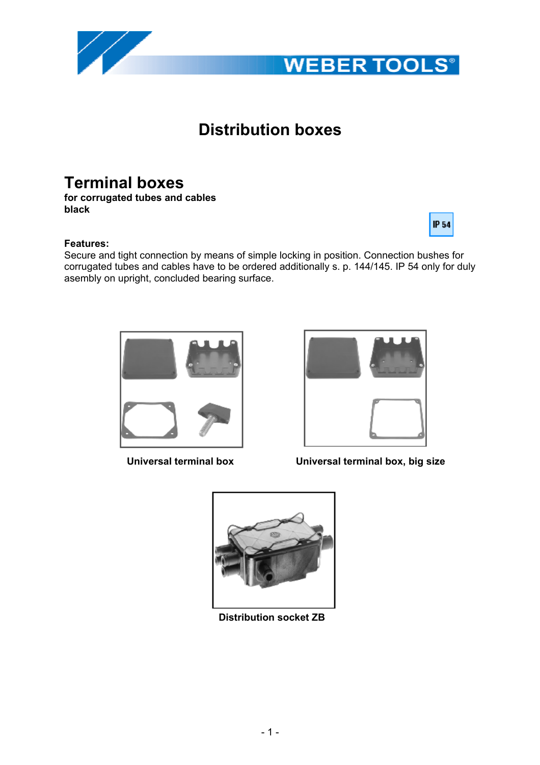# **Distribution boxes**

# **Terminal boxes**

**for corrugated tubes and cables black**

### **Features:**

Secure and tight connection by means of simple locking in position. Connection bushes for corrugated tubes and cables have to be ordered additionally s. p. 144/145. IP 54 only for duly asembly on upright, concluded bearing surface.

## **Universal terminal box Universal terminal box, big size**





**WEBER TOOLS®** 



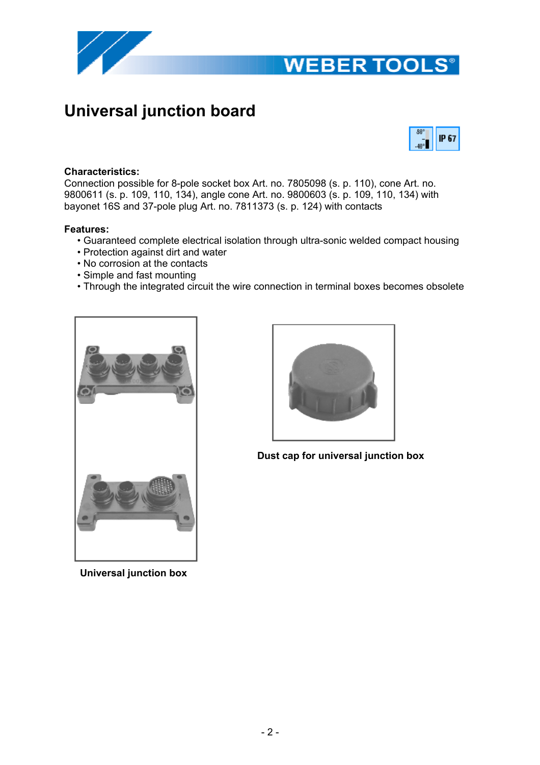

# **WEBER TOOLS®**

# **Universal junction board**



### **Characteristics:**

Connection possible for 8-pole socket box Art. no. 7805098 (s. p. 110), cone Art. no. 9800611 (s. p. 109, 110, 134), angle cone Art. no. 9800603 (s. p. 109, 110, 134) with bayonet 16S and 37-pole plug Art. no. 7811373 (s. p. 124) with contacts

#### **Features:**

- Guaranteed complete electrical isolation through ultra-sonic welded compact housing
- Protection against dirt and water
- No corrosion at the contacts
- Simple and fast mounting
- Through the integrated circuit the wire connection in terminal boxes becomes obsolete



**Dust cap for universal junction box**

 **Universal junction box**